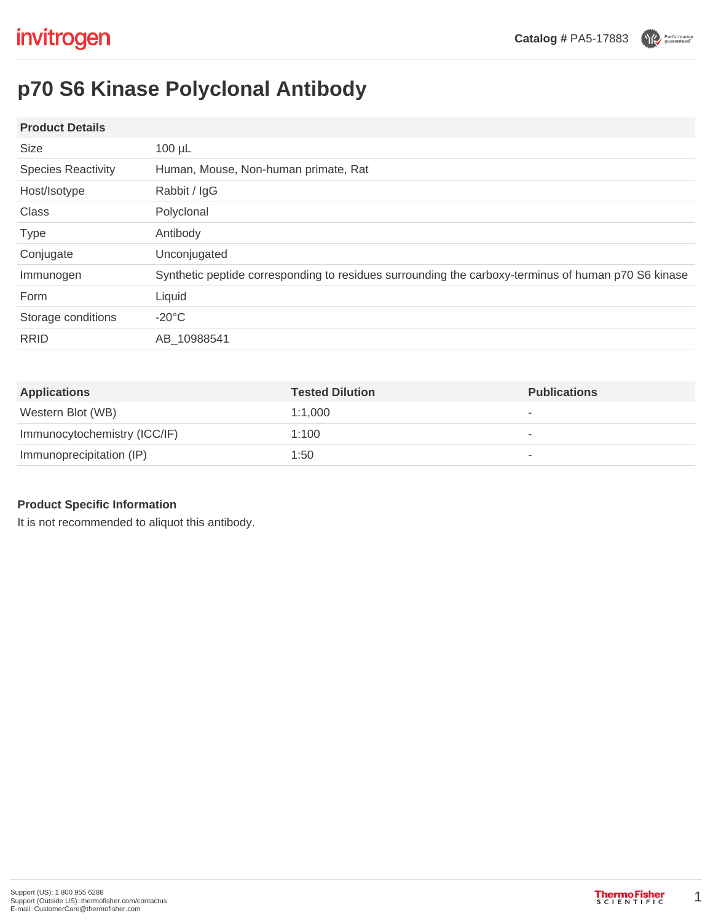Performance

# **p70 S6 Kinase Polyclonal Antibody**

### **Product Details**

| Size                      | $100 \mu L$                                                                                         |  |
|---------------------------|-----------------------------------------------------------------------------------------------------|--|
| <b>Species Reactivity</b> | Human, Mouse, Non-human primate, Rat                                                                |  |
| Host/Isotype              | Rabbit / IgG                                                                                        |  |
| <b>Class</b>              | Polyclonal                                                                                          |  |
| <b>Type</b>               | Antibody                                                                                            |  |
| Conjugate                 | Unconjugated                                                                                        |  |
| Immunogen                 | Synthetic peptide corresponding to residues surrounding the carboxy-terminus of human p70 S6 kinase |  |
| Form                      | Liquid                                                                                              |  |
| Storage conditions        | $-20^{\circ}$ C                                                                                     |  |
| <b>RRID</b>               | AB 10988541                                                                                         |  |

| <b>Applications</b>          | <b>Tested Dilution</b> | <b>Publications</b> |
|------------------------------|------------------------|---------------------|
| Western Blot (WB)            | 1:1.000                | ۰                   |
| Immunocytochemistry (ICC/IF) | 1:100                  | ۰                   |
| Immunoprecipitation (IP)     | 1:50                   | ۰                   |

# **Product Specific Information**

It is not recommended to aliquot this antibody.

1